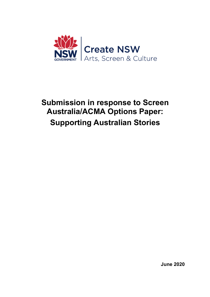

# **Submission in response to Screen Australia/ACMA Options Paper: Supporting Australian Stories**

**June 2020**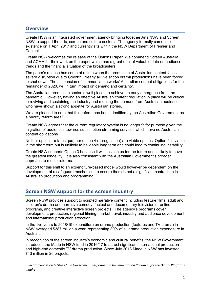## **Overview**

Create NSW is an integrated government agency bringing together Arts NSW and Screen NSW to support the arts, screen and culture sectors. The agency formally came into existence on 1 April 2017 and currently sits within the NSW Department of Premier and Cabinet.

Create NSW welcomes the release of the Options Paper. We commend Screen Australia and ACMA for their work on the paper which has a great deal of valuable data on audience trends and the financial situation of the broadcasters.

The paper's release has come at a time when the production of Australian content faces severe disruption due to Covid19. Nearly all live action drama productions have been forced to shut down. The suspension of commercial networks' Australian content obligations for the remainder of 2020, will in turn impact on demand and certainty.

The Australian production sector is well placed to achieve an early emergence from the pandemic. However, having an effective Australian content regulation in place will be critical to reviving and sustaining the industry and meeting the demand from Australian audiences, who have shown a strong appetite for Australian stories.

We are pleased to note that this reform has been identified by the Australian Government as a priority reform area<sup>1</sup>.

Create NSW agrees that the current regulatory system is no longer fit for purpose given the migration of audiences towards subscription streaming services which have no Australian content obligations

Neither option 1 (status quo) nor option 4 (deregulation) are viable options. Option 2 is viable in the short term but is unlikely to be viable long term and could lead to continuing instability.

Create NSW supports Option 3 because it will position us for the future and is likely to have the greatest longevity. It is also consistent with the Australian Government's broader approach to media reforms.

Support for this shift to an expenditure-based model would however be dependent on the development of a safeguard mechanism to ensure there is not a significant contraction in Australian production and programming.

# **Screen NSW support for the screen industry**

Screen NSW provides support to scripted narrative content including feature films, adult and children's drama and narrative comedy, factual and documentary television or online programs, and creative interactive screen projects. The agency's programs cover development, production, regional filming, market travel, industry and audience development and international production attraction.

In the five years to 2018/19 expenditure on drama production (features and TV drama) in NSW averaged \$387 million a year, representing 39% of all drama production expenditure in Australia.

In recognition of the screen industry's economic and cultural benefits, the NSW Government introduced the Made in NSW fund in 2016/17 to attract significant international production and high-end domestic TV drama production. Since July 2018 Made in NSW has invested \$43 million in 26 projects.

<sup>1</sup> Recommendation 6, Stage 1, in *Government Response and Implementation Roadmap for the Digital Platforms Inquiry*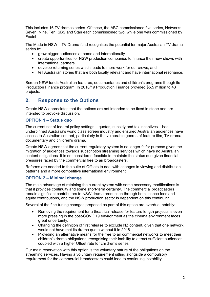This includes 16 TV dramas series. Of these, the ABC commissioned five series, Networks Seven, Nine, Ten, SBS and Stan each commissioned two, while one was commissioned by Foxtel.

The Made in NSW – TV Drama fund recognises the potential for major Australian TV drama series to:

- grow bigger audiences at home and internationally
- create opportunities for NSW production companies to finance their new shows with international partners
- develop returning series which leads to more work for our crews, and
- tell Australian stories that are both locally relevant and have international resonance.

Screen NSW funds Australian features, documentaries and children's programs though its Production Finance program. In 2018/19 Production Finance provided \$5.5 million to 43 projects.

# **2. Response to the Options**

Create NSW appreciates that the options are not intended to be fixed in stone and are intended to provoke discussion.

#### **OPTION 1** – **Status quo**

The current set of federal policy settings – quotas, subsidy and tax incentives – has underpinned Australia's world class screen industry and ensured Australian audiences have access to Australian content, particularly in the vulnerable genres of feature film, TV drama, documentary and children's drama*.*

Create NSW agrees that the current regulatory system is no longer fit for purpose given the migration of audiences towards subscription streaming services which have no Australian content obligations. It is not considered feasible to maintain the status quo given financial pressures faced by the commercial free to air broadcasters.

Reforms are needed to the suite of Offsets to deal with changes in viewing and distribution patterns and a more competitive international environment.

#### **OPTION 2 – Minimal change**

The main advantage of retaining the current system with some necessary modifications is that it provides continuity and some short-term certainty. The commercial broadcasters remain significant contributors to NSW drama production through both licence fees and equity contributions, and the NSW production sector is dependent on this continuing.

Several of the fine-tuning changes proposed as part of this option are overdue, notably:

- Removing the requirement for a theatrical release for feature length projects is even more pressing in the post-COVID19 environment as the cinema environment faces great uncertainty.
- Changing the definition of first release to exclude NZ content, given that one network would not have met its drama quota without it in 2018.
- Providing an alternative means for the free to air commercial networks to meet their children's drama obligations, recognising their inability to attract sufficient audiences, coupled with a higher Offset rate for children's series.

Our main reservation with this option is the voluntary nature of the obligations on the streaming services. Having a voluntary requirement sitting alongside a compulsory requirement for the commercial broadcasters could lead to continuing instability.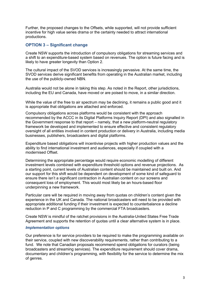Further, the proposed changes to the Offsets, while supported, will not provide sufficient incentive for high value series drama or the certainty needed to attract international productions.

### **OPTION 3 – Significant change**

Create NSW supports the introduction of compulsory obligations for streaming services and a shift to an expenditure-based system based on revenues. The option is future facing and is likely to have greater longevity than Option 2.

The cultural impact of the SVOD services is increasingly pervasive. At the same time, the SVOD services derive significant benefits from operating in the Australian market, including the use of the publicly-owned NBN.

Australia would not be alone in taking this step. As noted in the Report, other jurisdictions, including the EU and Canada, have moved or are poised to move, in a similar direction.

While the value of the free to air spectrum may be declining, it remains a public good and it is appropriate that obligations are attached and enforced.

Compulsory obligations across platforms would be consistent with the approach recommended by the ACCC in its Digital Platforms Inquiry Report (DPI) and also signalled in the Government response to that report – namely, that a new platform-neutral regulatory framework be developed and implemented to ensure effective and consistent regulatory oversight of all entities involved in content production or delivery in Australia, including media businesses, publishers, broadcasters and digital platforms.

Expenditure based obligations will incentivise projects with higher production values and the ability to find international investment and audiences, especially if coupled with a modernised Offset.

Determining the appropriate percentage would require economic modelling of different investment levels combined with expenditure threshold options and revenue projections. As a starting point, current levels of Australian content should be maintained and built on. And our support for this shift would be dependent on development of some kind of safeguard to ensure there isn't a significant contraction in Australian content on our screens and consequent loss of employment. This would most likely be an hours-based floor underpinning a new framework.

Particular care will be required in moving away from quotas on children's content given the experience in the UK and Canada. The national broadcasters will need to be provided with appropriate additional funding if their investment is expected to counterbalance a decline reduction in P and C programming by the commercial FTA broadcasters.

Create NSW is mindful of the ratchet provisions in the Australia-United States Free Trade Agreement and supports the retention of quotas until a clear alternative system is in place.

#### *Implementation options*

Our preference is for service providers to be required to make the programming available on their service, coupled with new discoverability requirements, rather than contributing to a fund. We note that Canadian proposals recommend spend obligations for curators (being broadcasters and streaming services). The expenditure requirement should cover drama, documentary and children's programming, with flexibility for the service to determine the mix of genres.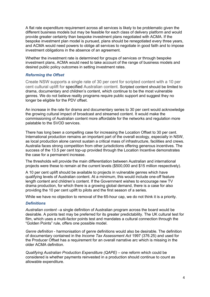A flat rate expenditure requirement across all services is likely to be problematic given the different business models but may be feasible for each class of delivery platform and would provide greater certainty than bespoke investment plans negotiated with ACMA. If the bespoke investment plan model is pursued, plans should be renegotiated every three years, and ACMA would need powers to oblige all services to negotiate in good faith and to impose investment obligations in the absence of an agreement.

Whether the investment rate is determined for groups of services or through bespoke investment plans, ACMA would need to take account of the range of business models and desired public policy outcomes in setting investment rates.

#### *Reforming the Offset*

Create NSW supports a single rate of 30 per cent for scripted content with a 10 per cent cultural uplift for specified Australian content. Scripted content should be limited to drama, documentary and children's content, which continue to be the most vulnerable genres. We do not believe reality programs require public support and suggest they no longer be eligible for the PDV offset.

An increase in the rate for drama and documentary series to 30 per cent would acknowledge the growing cultural impact of broadcast and streamed content. It would make the commissioning of Australian content more affordable for the networks and regulation more palatable to the SVOD services.

There has long been a compelling case for increasing the Location Offset to 30 per cent. International production remains an important part of the overall ecology, especially in NSW, as local production alone cannot sustain a critical mass of infrastructure, facilities and crews. Australia faces strong competition from other jurisdictions offering generous incentives. The success of the 13.5 per cent top-up provided through the Location Incentive demonstrates the case for a permanent increase.

The thresholds will provide the main differentiation between Australian and international projects were these to remain at the current levels (\$500,000 and \$15 million respectively).

A 10 per cent uplift should be available to projects in vulnerable genres which have qualifying levels of Australian content. At a minimum, this would include one-off feature length content and children's content. If the Government wishes to encourage new TV drama production, for which there is a growing global demand, there is a case for also providing the 10 per cent uplift to pilots and the first season of a series.

While we have no objection to removal of the 65-hour cap, we do not think it is a priority.

#### *Definitions*

*Australian content* –a single definition of Australian program across the board would be desirable. A points test may be preferred for its greater predictability. The UK cultural test for film, which uses a multi-factor points test and mandates a cultural connection through the "Golden Points" rule, offers one possible model.

*Genre definition* - harmonisation of genre definitions would also be desirable. The definition of documentary contained in the *Income Tax Assessment Act* 1997 (376.25) and used for the Producer Offset has a requirement for an overall narrative arc which is missing in the older ACMA definition.

*Qualifying Australian Production Expenditure (QAPE)* – one reform which could be considered is whether payments reinvested in a production should continue to count as allowable expenditure.